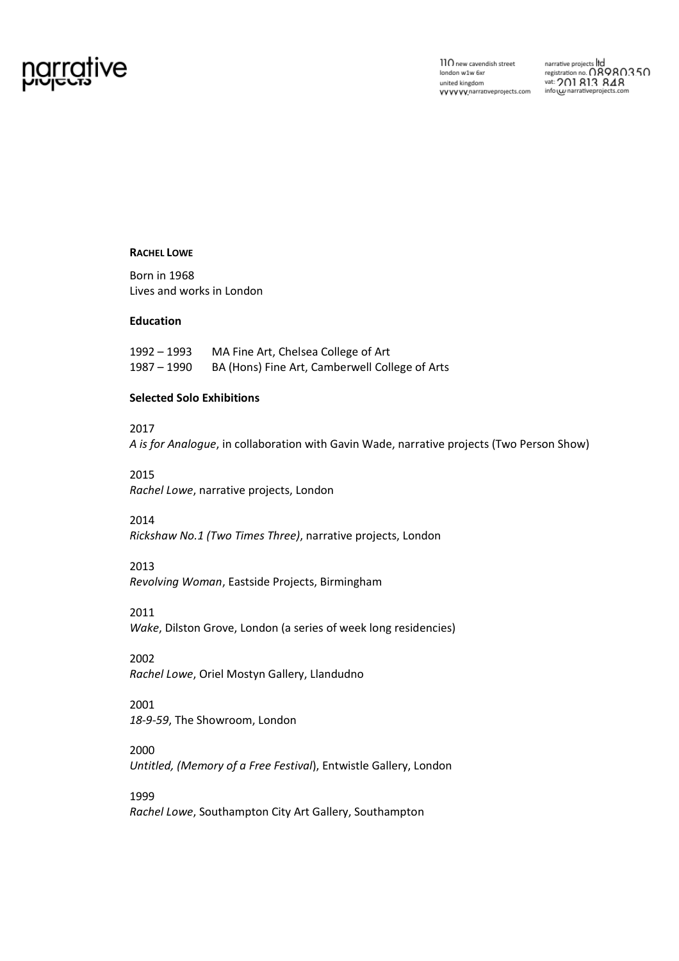# <u>grrative</u>

 $110$  new cavendish street london w1w 6xr united kingdom VVVVVV, narrative projects.com

#### **RACHEL LOWE**

Born in 1968 Lives and works in London

## **Education**

1992 – 1993 MA Fine Art, Chelsea College of Art 1987 – 1990 BA (Hons) Fine Art, Camberwell College of Arts

## **Selected Solo Exhibitions**

## 2017

*A is for Analogue*, in collaboration with Gavin Wade, narrative projects (Two Person Show)

#### 2015

*Rachel Lowe*, narrative projects, London

## 2014

*Rickshaw No.1 (Two Times Three)*, narrative projects, London

#### 2013

*Revolving Woman*, Eastside Projects, Birmingham

## 2011

*Wake*, Dilston Grove, London (a series of week long residencies)

2002 *Rachel Lowe*, Oriel Mostyn Gallery, Llandudno

# 2001 *18-9-59*, The Showroom, London

2000 *Untitled, (Memory of a Free Festival*), Entwistle Gallery, London

# 1999 *Rachel Lowe*, Southampton City Art Gallery, Southampton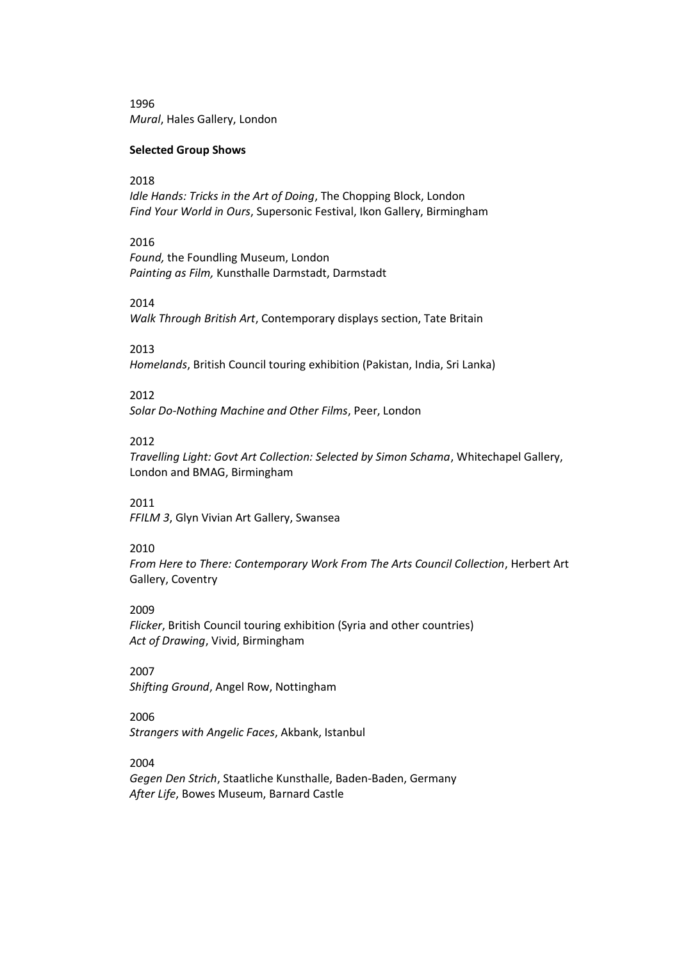1996 *Mural*, Hales Gallery, London

#### **Selected Group Shows**

## 2018

*Idle Hands: Tricks in the Art of Doing*, The Chopping Block, London *Find Your World in Ours*, Supersonic Festival, Ikon Gallery, Birmingham

## 2016

*Found,* the Foundling Museum, London *Painting as Film,* Kunsthalle Darmstadt, Darmstadt

#### 2014

*Walk Through British Art*, Contemporary displays section, Tate Britain

#### 2013

*Homelands*, British Council touring exhibition (Pakistan, India, Sri Lanka)

## 2012

*Solar Do-Nothing Machine and Other Films*, Peer, London

#### 2012

*Travelling Light: Govt Art Collection: Selected by Simon Schama*, Whitechapel Gallery, London and BMAG, Birmingham

#### 2011

*FFILM 3*, Glyn Vivian Art Gallery, Swansea

#### 2010

*From Here to There: Contemporary Work From The Arts Council Collection*, Herbert Art Gallery, Coventry

#### 2009

*Flicker*, British Council touring exhibition (Syria and other countries) *Act of Drawing*, Vivid, Birmingham

2007 *Shifting Ground*, Angel Row, Nottingham

## 2006

*Strangers with Angelic Faces*, Akbank, Istanbul

2004

*Gegen Den Strich*, Staatliche Kunsthalle, Baden-Baden, Germany *After Life*, Bowes Museum, Barnard Castle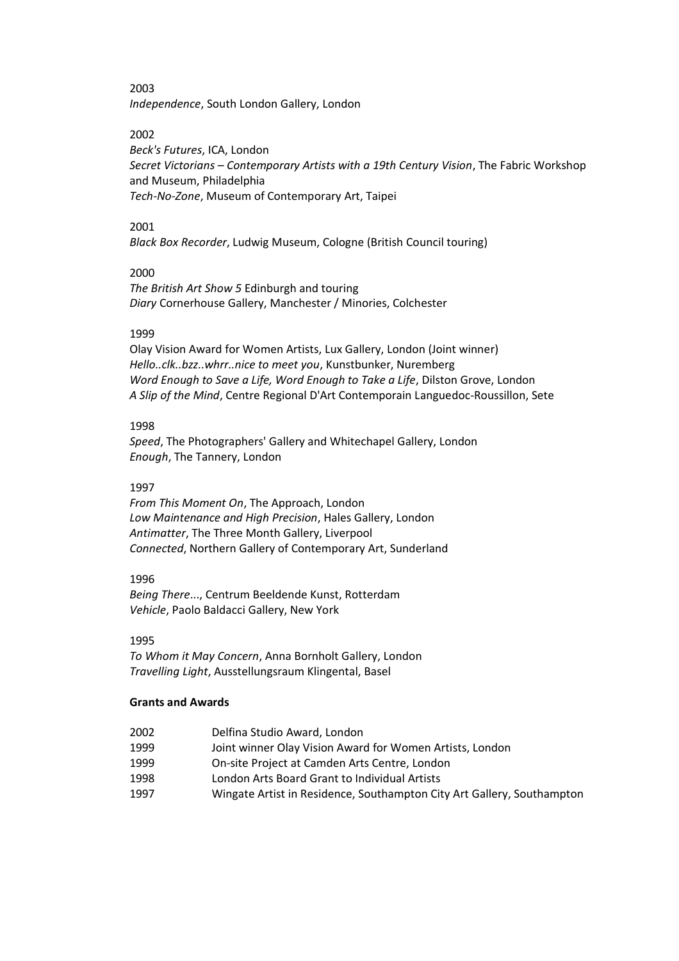2003

*Independence*, South London Gallery, London

2002

*Beck's Futures*, ICA, London *Secret Victorians – Contemporary Artists with a 19th Century Vision*, The Fabric Workshop and Museum, Philadelphia *Tech-No-Zone*, Museum of Contemporary Art, Taipei

## 2001

*Black Box Recorder*, Ludwig Museum, Cologne (British Council touring)

## 2000

*The British Art Show 5* Edinburgh and touring *Diary* Cornerhouse Gallery, Manchester / Minories, Colchester

## 1999

Olay Vision Award for Women Artists, Lux Gallery, London (Joint winner) *Hello..clk..bzz..whrr..nice to meet you*, Kunstbunker, Nuremberg *Word Enough to Save a Life, Word Enough to Take a Life*, Dilston Grove, London *A Slip of the Mind*, Centre Regional D'Art Contemporain Languedoc-Roussillon, Sete

## 1998

*Speed*, The Photographers' Gallery and Whitechapel Gallery, London *Enough*, The Tannery, London

## 1997

*From This Moment On*, The Approach, London *Low Maintenance and High Precision*, Hales Gallery, London *Antimatter*, The Three Month Gallery, Liverpool *Connected*, Northern Gallery of Contemporary Art, Sunderland

## 1996

*Being There*..., Centrum Beeldende Kunst, Rotterdam *Vehicle*, Paolo Baldacci Gallery, New York

#### 1995

*To Whom it May Concern*, Anna Bornholt Gallery, London *Travelling Light*, Ausstellungsraum Klingental, Basel

## **Grants and Awards**

- 2002 Delfina Studio Award, London
- 1999 Joint winner Olay Vision Award for Women Artists, London
- 1999 On-site Project at Camden Arts Centre, London
- 1998 London Arts Board Grant to Individual Artists
- 1997 Wingate Artist in Residence, Southampton City Art Gallery, Southampton